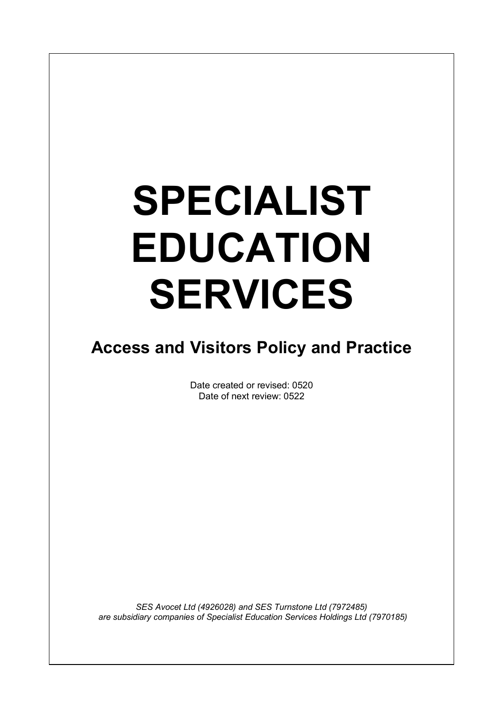# **SPECIALIST EDUCATION SERVICES**

 $\overline{\phantom{a}}$ 

### **Access and Visitors Policy and Practice**

Date created or revised: 0520 Date of next review: 0522

*SES Avocet Ltd (4926028) and SES Turnstone Ltd (7972485) are subsidiary companies of Specialist Education Services Holdings Ltd (7970185)*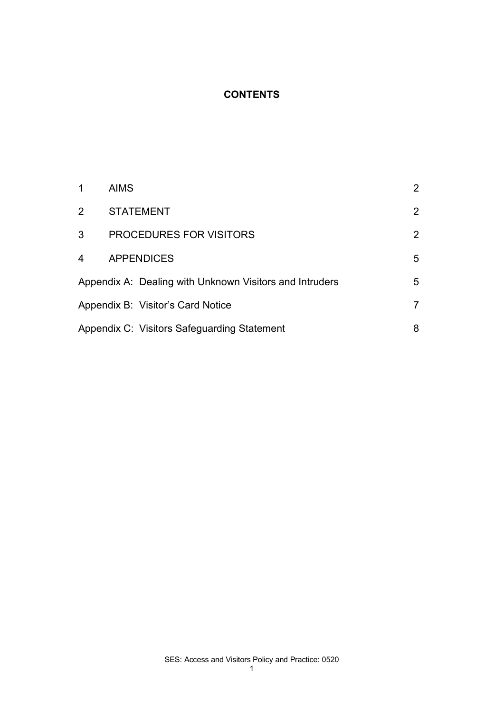#### **CONTENTS**

|   | <b>AIMS</b>                                             | $\overline{2}$ |
|---|---------------------------------------------------------|----------------|
| 2 | <b>STATEMENT</b>                                        | $\overline{2}$ |
| 3 | <b>PROCEDURES FOR VISITORS</b>                          | $\overline{2}$ |
| 4 | <b>APPENDICES</b>                                       | 5              |
|   | Appendix A: Dealing with Unknown Visitors and Intruders | 5              |
|   | Appendix B: Visitor's Card Notice                       | 7              |
|   | Appendix C: Visitors Safeguarding Statement             | 8              |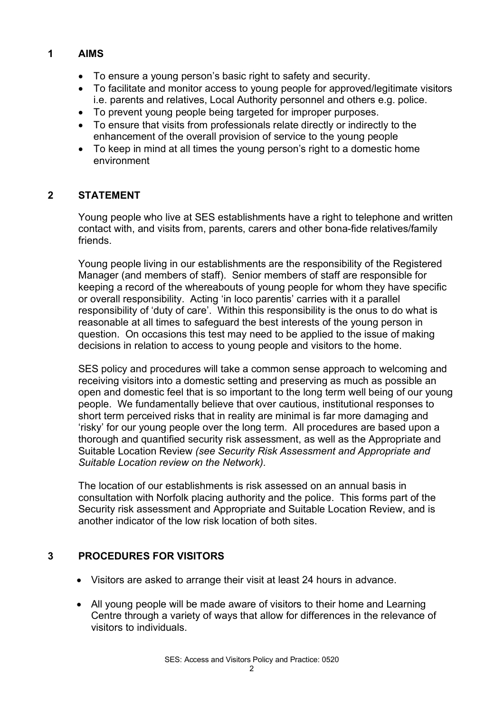#### **1 AIMS**

- To ensure a young person's basic right to safety and security.
- To facilitate and monitor access to young people for approved/legitimate visitors i.e. parents and relatives, Local Authority personnel and others e.g. police.
- To prevent young people being targeted for improper purposes.
- To ensure that visits from professionals relate directly or indirectly to the enhancement of the overall provision of service to the young people
- To keep in mind at all times the young person's right to a domestic home environment

#### **2 STATEMENT**

Young people who live at SES establishments have a right to telephone and written contact with, and visits from, parents, carers and other bona-fide relatives/family friends.

Young people living in our establishments are the responsibility of the Registered Manager (and members of staff). Senior members of staff are responsible for keeping a record of the whereabouts of young people for whom they have specific or overall responsibility. Acting 'in loco parentis' carries with it a parallel responsibility of 'duty of care'. Within this responsibility is the onus to do what is reasonable at all times to safeguard the best interests of the young person in question. On occasions this test may need to be applied to the issue of making decisions in relation to access to young people and visitors to the home.

SES policy and procedures will take a common sense approach to welcoming and receiving visitors into a domestic setting and preserving as much as possible an open and domestic feel that is so important to the long term well being of our young people. We fundamentally believe that over cautious, institutional responses to short term perceived risks that in reality are minimal is far more damaging and 'risky' for our young people over the long term. All procedures are based upon a thorough and quantified security risk assessment, as well as the Appropriate and Suitable Location Review *(see Security Risk Assessment and Appropriate and Suitable Location review on the Network).*

The location of our establishments is risk assessed on an annual basis in consultation with Norfolk placing authority and the police. This forms part of the Security risk assessment and Appropriate and Suitable Location Review, and is another indicator of the low risk location of both sites.

#### **3 PROCEDURES FOR VISITORS**

- Visitors are asked to arrange their visit at least 24 hours in advance.
- All young people will be made aware of visitors to their home and Learning Centre through a variety of ways that allow for differences in the relevance of visitors to individuals.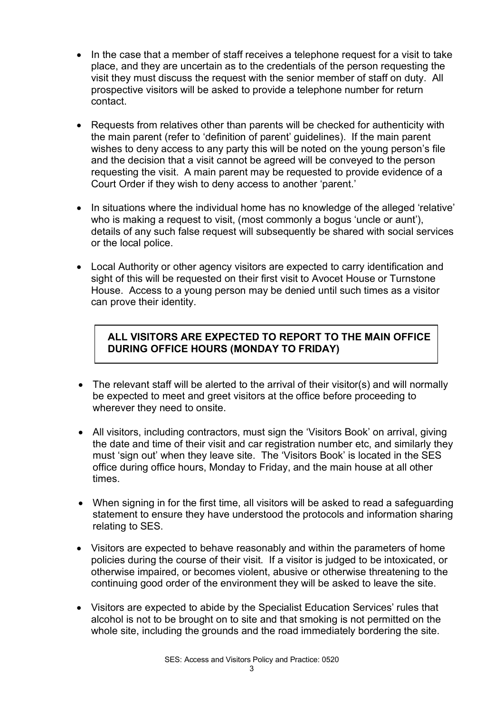- In the case that a member of staff receives a telephone request for a visit to take place, and they are uncertain as to the credentials of the person requesting the visit they must discuss the request with the senior member of staff on duty. All prospective visitors will be asked to provide a telephone number for return contact.
- Requests from relatives other than parents will be checked for authenticity with the main parent (refer to 'definition of parent' guidelines). If the main parent wishes to deny access to any party this will be noted on the young person's file and the decision that a visit cannot be agreed will be conveyed to the person requesting the visit. A main parent may be requested to provide evidence of a Court Order if they wish to deny access to another 'parent.'
- In situations where the individual home has no knowledge of the alleged 'relative' who is making a request to visit, (most commonly a bogus 'uncle or aunt'), details of any such false request will subsequently be shared with social services or the local police.
- Local Authority or other agency visitors are expected to carry identification and sight of this will be requested on their first visit to Avocet House or Turnstone House. Access to a young person may be denied until such times as a visitor can prove their identity.

#### **ALL VISITORS ARE EXPECTED TO REPORT TO THE MAIN OFFICE DURING OFFICE HOURS (MONDAY TO FRIDAY)**

- The relevant staff will be alerted to the arrival of their visitor(s) and will normally be expected to meet and greet visitors at the office before proceeding to wherever they need to onsite.
- All visitors, including contractors, must sign the 'Visitors Book' on arrival, giving the date and time of their visit and car registration number etc, and similarly they must 'sign out' when they leave site. The 'Visitors Book' is located in the SES office during office hours, Monday to Friday, and the main house at all other times.
- When signing in for the first time, all visitors will be asked to read a safeguarding statement to ensure they have understood the protocols and information sharing relating to SES.
- Visitors are expected to behave reasonably and within the parameters of home policies during the course of their visit. If a visitor is judged to be intoxicated, or otherwise impaired, or becomes violent, abusive or otherwise threatening to the continuing good order of the environment they will be asked to leave the site.
- Visitors are expected to abide by the Specialist Education Services' rules that alcohol is not to be brought on to site and that smoking is not permitted on the whole site, including the grounds and the road immediately bordering the site.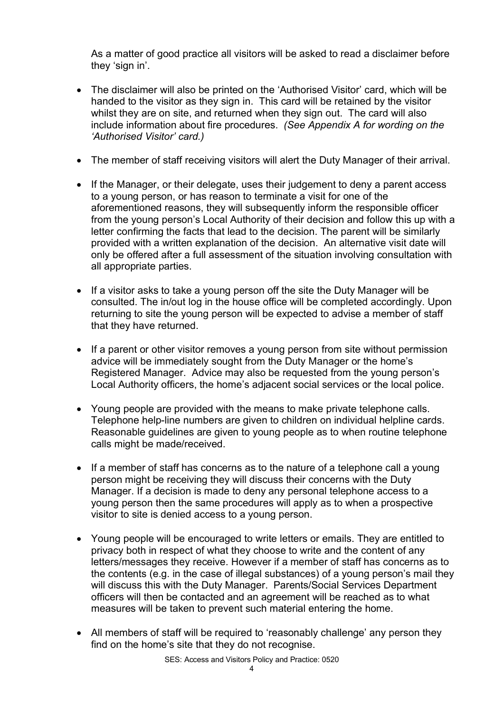As a matter of good practice all visitors will be asked to read a disclaimer before they 'sign in'.

- The disclaimer will also be printed on the 'Authorised Visitor' card, which will be handed to the visitor as they sign in. This card will be retained by the visitor whilst they are on site, and returned when they sign out. The card will also include information about fire procedures. *(See Appendix A for wording on the 'Authorised Visitor' card.)*
- The member of staff receiving visitors will alert the Duty Manager of their arrival.
- If the Manager, or their delegate, uses their judgement to deny a parent access to a young person, or has reason to terminate a visit for one of the aforementioned reasons, they will subsequently inform the responsible officer from the young person's Local Authority of their decision and follow this up with a letter confirming the facts that lead to the decision. The parent will be similarly provided with a written explanation of the decision. An alternative visit date will only be offered after a full assessment of the situation involving consultation with all appropriate parties.
- If a visitor asks to take a young person off the site the Duty Manager will be consulted. The in/out log in the house office will be completed accordingly. Upon returning to site the young person will be expected to advise a member of staff that they have returned.
- If a parent or other visitor removes a young person from site without permission advice will be immediately sought from the Duty Manager or the home's Registered Manager. Advice may also be requested from the young person's Local Authority officers, the home's adjacent social services or the local police.
- Young people are provided with the means to make private telephone calls. Telephone help-line numbers are given to children on individual helpline cards. Reasonable guidelines are given to young people as to when routine telephone calls might be made/received.
- If a member of staff has concerns as to the nature of a telephone call a young person might be receiving they will discuss their concerns with the Duty Manager. If a decision is made to deny any personal telephone access to a young person then the same procedures will apply as to when a prospective visitor to site is denied access to a young person.
- Young people will be encouraged to write letters or emails. They are entitled to privacy both in respect of what they choose to write and the content of any letters/messages they receive. However if a member of staff has concerns as to the contents (e.g. in the case of illegal substances) of a young person's mail they will discuss this with the Duty Manager. Parents/Social Services Department officers will then be contacted and an agreement will be reached as to what measures will be taken to prevent such material entering the home.
- All members of staff will be required to 'reasonably challenge' any person they find on the home's site that they do not recognise.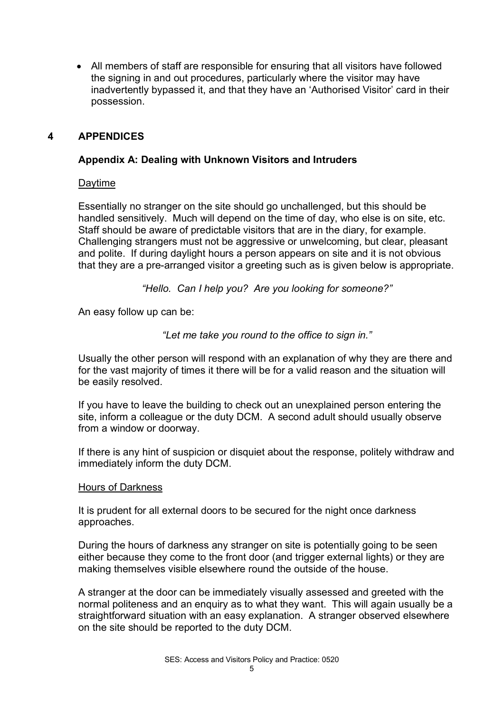• All members of staff are responsible for ensuring that all visitors have followed the signing in and out procedures, particularly where the visitor may have inadvertently bypassed it, and that they have an 'Authorised Visitor' card in their possession.

#### **4 APPENDICES**

#### **Appendix A: Dealing with Unknown Visitors and Intruders**

#### Daytime

Essentially no stranger on the site should go unchallenged, but this should be handled sensitively. Much will depend on the time of day, who else is on site, etc. Staff should be aware of predictable visitors that are in the diary, for example. Challenging strangers must not be aggressive or unwelcoming, but clear, pleasant and polite. If during daylight hours a person appears on site and it is not obvious that they are a pre-arranged visitor a greeting such as is given below is appropriate.

*"Hello. Can I help you? Are you looking for someone?"*

An easy follow up can be:

*"Let me take you round to the office to sign in."*

Usually the other person will respond with an explanation of why they are there and for the vast majority of times it there will be for a valid reason and the situation will be easily resolved.

If you have to leave the building to check out an unexplained person entering the site, inform a colleague or the duty DCM. A second adult should usually observe from a window or doorway.

If there is any hint of suspicion or disquiet about the response, politely withdraw and immediately inform the duty DCM.

#### Hours of Darkness

It is prudent for all external doors to be secured for the night once darkness approaches.

During the hours of darkness any stranger on site is potentially going to be seen either because they come to the front door (and trigger external lights) or they are making themselves visible elsewhere round the outside of the house.

A stranger at the door can be immediately visually assessed and greeted with the normal politeness and an enquiry as to what they want. This will again usually be a straightforward situation with an easy explanation. A stranger observed elsewhere on the site should be reported to the duty DCM.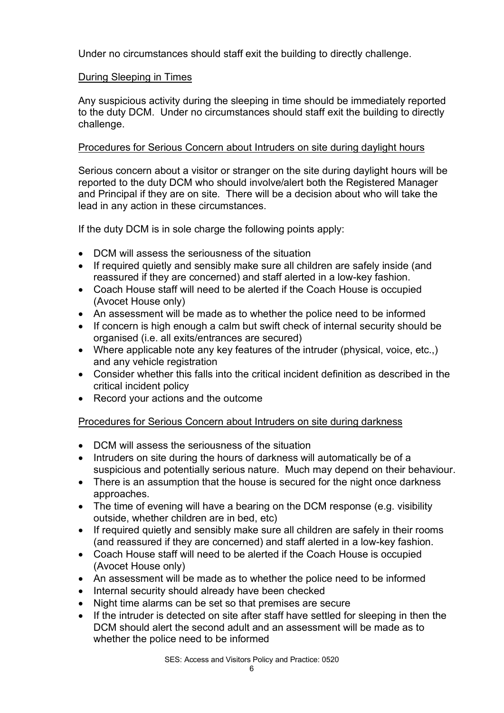Under no circumstances should staff exit the building to directly challenge.

#### During Sleeping in Times

Any suspicious activity during the sleeping in time should be immediately reported to the duty DCM. Under no circumstances should staff exit the building to directly challenge.

#### Procedures for Serious Concern about Intruders on site during daylight hours

Serious concern about a visitor or stranger on the site during daylight hours will be reported to the duty DCM who should involve/alert both the Registered Manager and Principal if they are on site. There will be a decision about who will take the lead in any action in these circumstances.

If the duty DCM is in sole charge the following points apply:

- DCM will assess the seriousness of the situation
- If required quietly and sensibly make sure all children are safely inside (and reassured if they are concerned) and staff alerted in a low-key fashion.
- Coach House staff will need to be alerted if the Coach House is occupied (Avocet House only)
- An assessment will be made as to whether the police need to be informed
- If concern is high enough a calm but swift check of internal security should be organised (i.e. all exits/entrances are secured)
- Where applicable note any key features of the intruder (physical, voice, etc.,) and any vehicle registration
- Consider whether this falls into the critical incident definition as described in the critical incident policy
- Record your actions and the outcome

#### Procedures for Serious Concern about Intruders on site during darkness

- DCM will assess the seriousness of the situation
- Intruders on site during the hours of darkness will automatically be of a suspicious and potentially serious nature. Much may depend on their behaviour.
- There is an assumption that the house is secured for the night once darkness approaches.
- The time of evening will have a bearing on the DCM response (e.g. visibility outside, whether children are in bed, etc)
- If required quietly and sensibly make sure all children are safely in their rooms (and reassured if they are concerned) and staff alerted in a low-key fashion.
- Coach House staff will need to be alerted if the Coach House is occupied (Avocet House only)
- An assessment will be made as to whether the police need to be informed
- Internal security should already have been checked
- Night time alarms can be set so that premises are secure
- If the intruder is detected on site after staff have settled for sleeping in then the DCM should alert the second adult and an assessment will be made as to whether the police need to be informed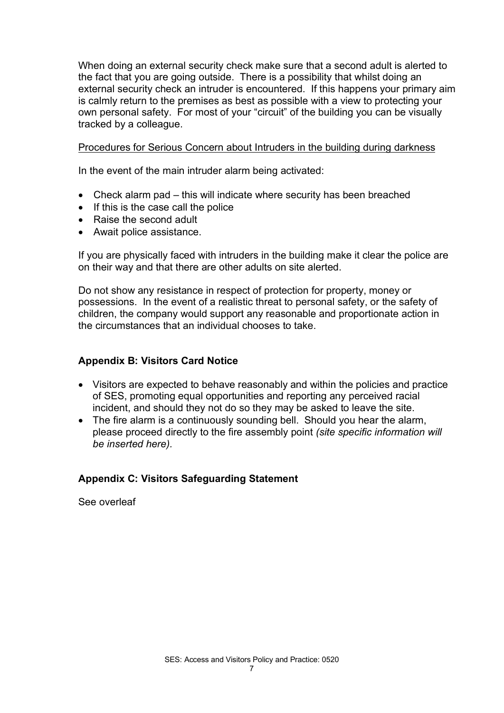When doing an external security check make sure that a second adult is alerted to the fact that you are going outside. There is a possibility that whilst doing an external security check an intruder is encountered. If this happens your primary aim is calmly return to the premises as best as possible with a view to protecting your own personal safety. For most of your "circuit" of the building you can be visually tracked by a colleague.

#### Procedures for Serious Concern about Intruders in the building during darkness

In the event of the main intruder alarm being activated:

- Check alarm pad this will indicate where security has been breached
- If this is the case call the police
- Raise the second adult
- Await police assistance.

If you are physically faced with intruders in the building make it clear the police are on their way and that there are other adults on site alerted.

Do not show any resistance in respect of protection for property, money or possessions. In the event of a realistic threat to personal safety, or the safety of children, the company would support any reasonable and proportionate action in the circumstances that an individual chooses to take.

#### **Appendix B: Visitors Card Notice**

- Visitors are expected to behave reasonably and within the policies and practice of SES, promoting equal opportunities and reporting any perceived racial incident, and should they not do so they may be asked to leave the site.
- The fire alarm is a continuously sounding bell. Should you hear the alarm, please proceed directly to the fire assembly point *(site specific information will be inserted here).*

#### **Appendix C: Visitors Safeguarding Statement**

See overleaf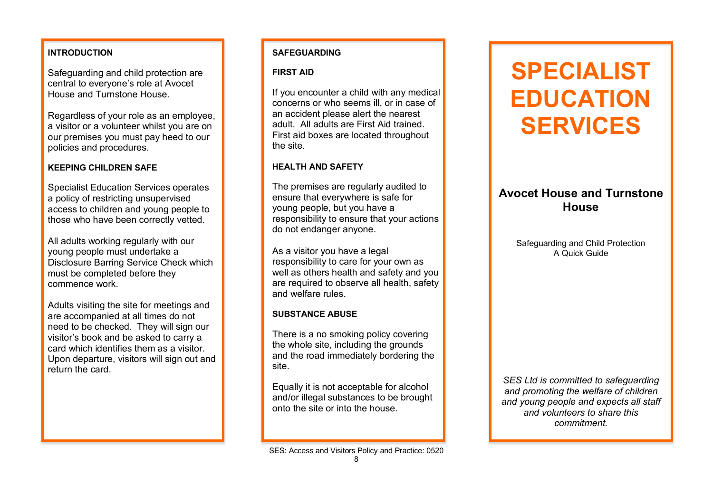#### **INTRODUCTION**

Safeguarding and child protection are central to everyone's role at Avocet House and Turnstone House.

Regardless of your role as an employee, a visitor or a volunteer whilst you are on our premises you must pay heed to our policies and procedures.

#### **KEEPING CHILDREN SAFE**

Specialist Education Services operates a policy of restricting unsupervised access to children and young people to those who have been correctly vetted.

All adults working regularly with our young people must undertake a Disclosure Barring Service Check which must be completed before they commence work.

Adults visiting the site for meetings and are accompanied at all times do not need to be checked. They will sign our visitor's book and be asked to carry a card which identifies them as a visitor. Upon departure, visitors will sign out and return the card.

#### **SAFEGUARDING**

#### **FIRST AID**

If you encounter a child with any medical concerns or who seems ill, or in case of an accident please alert the nearest adult. All adults are First Aid trained. First aid boxes are located throughout the site.

#### **HEALTH AND SAFETY**

The premises are regularly audited to ensure that everywhere is safe for young people, but you have a responsibility to ensure that your actions do not endanger anyone.

As a visitor you have a legal responsibility to care for your own as well as others health and safety and you are required to observe all health, safety and welfare rules.

#### **SUBSTANCE ABUSE**

There is a no smoking policy covering the whole site, including the grounds and the road immediately bordering the site.

Equally it is not acceptable for alcohol and/or illegal substances to be brought onto the site or into the house.

SES: Access and Visitors Policy and Practice: 0520

# **SPECIALIST EDUCATION SERVICES**

#### **Avocet House and Turnstone House**

Safeguarding and Child Protection A Quick Guide

*SES Ltd is committed to safeguarding and promoting the welfare of children and young people and expects all staff and volunteers to share this commitment.*